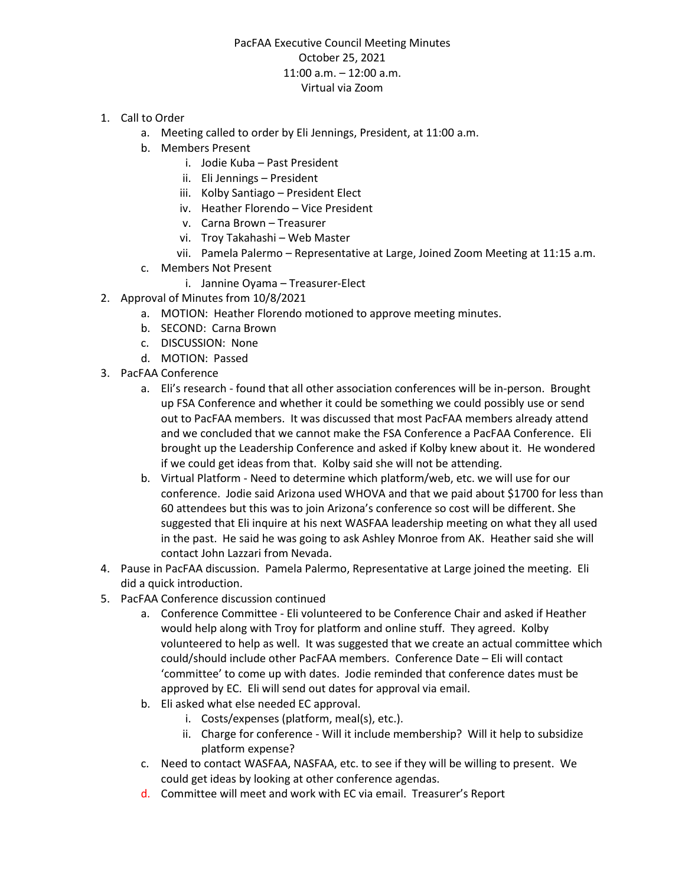## PacFAA Executive Council Meeting Minutes October 25, 2021 11:00 a.m. – 12:00 a.m. Virtual via Zoom

- 1. Call to Order
	- a. Meeting called to order by Eli Jennings, President, at 11:00 a.m.
	- b. Members Present
		- i. Jodie Kuba Past President
		- ii. Eli Jennings President
		- iii. Kolby Santiago President Elect
		- iv. Heather Florendo Vice President
		- v. Carna Brown Treasurer
		- vi. Troy Takahashi Web Master
		- vii. Pamela Palermo Representative at Large, Joined Zoom Meeting at 11:15 a.m.
	- c. Members Not Present
		- i. Jannine Oyama Treasurer-Elect
- 2. Approval of Minutes from 10/8/2021
	- a. MOTION: Heather Florendo motioned to approve meeting minutes.
	- b. SECOND: Carna Brown
	- c. DISCUSSION: None
	- d. MOTION: Passed
- 3. PacFAA Conference
	- a. Eli's research found that all other association conferences will be in-person. Brought up FSA Conference and whether it could be something we could possibly use or send out to PacFAA members. It was discussed that most PacFAA members already attend and we concluded that we cannot make the FSA Conference a PacFAA Conference. Eli brought up the Leadership Conference and asked if Kolby knew about it. He wondered if we could get ideas from that. Kolby said she will not be attending.
	- b. Virtual Platform Need to determine which platform/web, etc. we will use for our conference. Jodie said Arizona used WHOVA and that we paid about \$1700 for less than 60 attendees but this was to join Arizona's conference so cost will be different. She suggested that Eli inquire at his next WASFAA leadership meeting on what they all used in the past. He said he was going to ask Ashley Monroe from AK. Heather said she will contact John Lazzari from Nevada.
- 4. Pause in PacFAA discussion. Pamela Palermo, Representative at Large joined the meeting. Eli did a quick introduction.
- 5. PacFAA Conference discussion continued
	- a. Conference Committee Eli volunteered to be Conference Chair and asked if Heather would help along with Troy for platform and online stuff. They agreed. Kolby volunteered to help as well. It was suggested that we create an actual committee which could/should include other PacFAA members. Conference Date – Eli will contact 'committee' to come up with dates. Jodie reminded that conference dates must be approved by EC. Eli will send out dates for approval via email.
	- b. Eli asked what else needed EC approval.
		- i. Costs/expenses (platform, meal(s), etc.).
		- ii. Charge for conference Will it include membership? Will it help to subsidize platform expense?
	- c. Need to contact WASFAA, NASFAA, etc. to see if they will be willing to present. We could get ideas by looking at other conference agendas.
	- d. Committee will meet and work with EC via email. Treasurer's Report